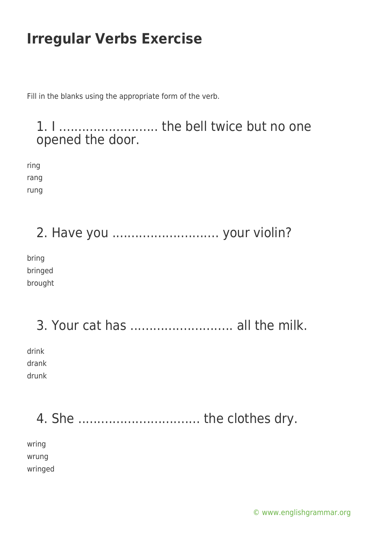Fill in the blanks using the appropriate form of the verb.

1. I .......................... the bell twice but no one opened the door.

ring rang rung

2. Have you ............................ your violin?

bring bringed brought

3. Your cat has ........................... all the milk. drink drank drunk

4. She ................................ the clothes dry.

wring wrung wringed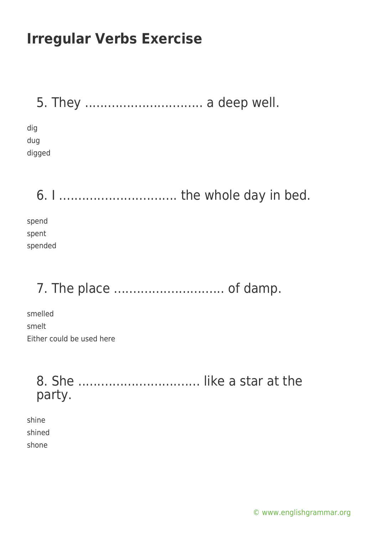|  |  | 5. They  a deep well. |  |  |  |
|--|--|-----------------------|--|--|--|
|--|--|-----------------------|--|--|--|

dig dug digged

6. I ............................... the whole day in bed.

spend spent spended

# 7. The place ............................. of damp.

smelled smelt Either could be used here

> 8. She ................................ like a star at the party.

shine shined shone

[© www.englishgrammar.org](https://www.englishgrammar.org/)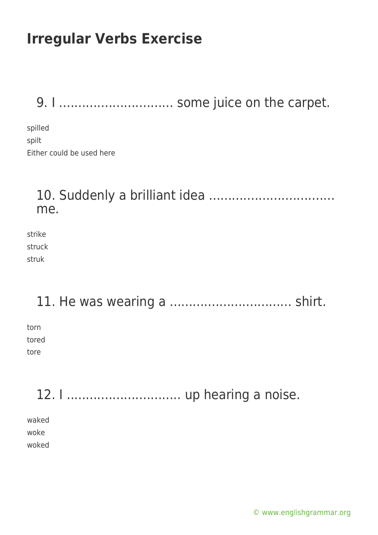9. I .............................. some juice on the carpet.

spilled spilt Either could be used here

#### 10. Suddenly a brilliant idea ................................. me.

strike struck struk

11. He was wearing a ................................ shirt.

torn tored tore

12. I .............................. up hearing a noise. waked woke woked